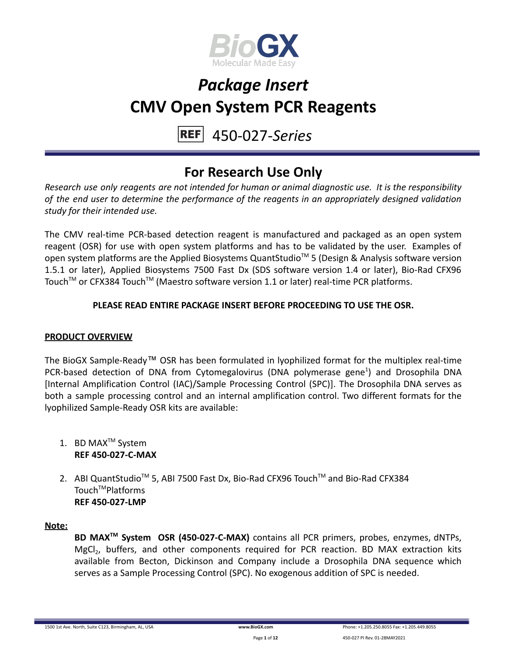

#### 450-027-*Series* **REF**

### **For Research Use Only**

*Research use only reagents are not intended for human or animal diagnostic use. It is the responsibility of the end user to determine the performance of the reagents in an appropriately designed validation study for their intended use.*

The CMV real-time PCR-based detection reagent is manufactured and packaged as an open system reagent (OSR) for use with open system platforms and has to be validated by the user. Examples of open system platforms are the Applied Biosystems QuantStudio<sup>™</sup> 5 (Design & Analysis software version 1.5.1 or later), Applied Biosystems 7500 Fast Dx (SDS software version 1.4 or later), Bio-Rad CFX96 Touch™ or CFX384 Touch™ (Maestro software version 1.1 or later) real-time PCR platforms.

### **PLEASE READ ENTIRE PACKAGE INSERT BEFORE PROCEEDING TO USE THE OSR.**

### **PRODUCT OVERVIEW**

The BioGX Sample-Ready™ OSR has been formulated in lyophilized format for the multiplex real-time PCR-based detection of DNA from Cytomegalovirus (DNA polymerase gene<sup>1</sup>) and Drosophila DNA [Internal Amplification Control (IAC)/Sample Processing Control (SPC)]. The Drosophila DNA serves as both a sample processing control and an internal amplification control. Two different formats for the lyophilized Sample-Ready OSR kits are available:

- 1. BD MAX<sup>™</sup> System **REF 450-027-C-MAX**
- 2. ABI QuantStudio<sup>™</sup> 5, ABI 7500 Fast Dx, Bio-Rad CFX96 Touch™ and Bio-Rad CFX384 Touch<sup>™</sup>Platforms **REF 450-027-LMP**

#### **Note:**

**BD MAXTM System OSR (450-027-C-MAX)** contains all PCR primers, probes, enzymes, dNTPs, MgCl<sub>2</sub>, buffers, and other components required for PCR reaction. BD MAX extraction kits available from Becton, Dickinson and Company include a Drosophila DNA sequence which serves as a Sample Processing Control (SPC). No exogenous addition of SPC is needed.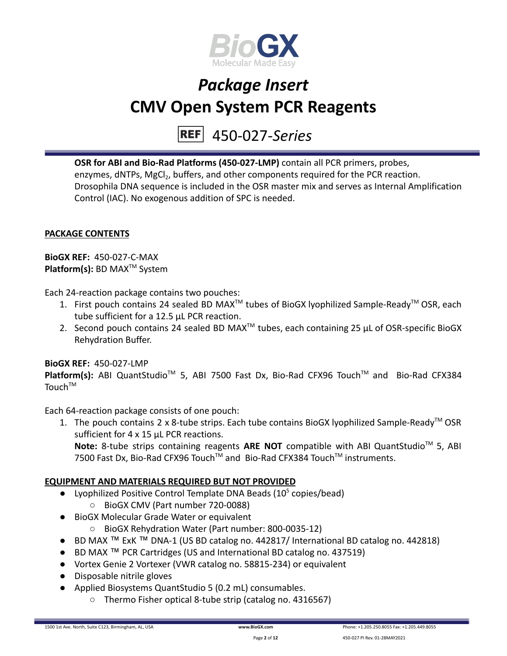

# 450-027-*Series*

**OSR for ABI and Bio-Rad Platforms (450-027-LMP)** contain all PCR primers, probes, enzymes, dNTPs, MgCl<sub>2</sub>, buffers, and other components required for the PCR reaction. Drosophila DNA sequence is included in the OSR master mix and serves as Internal Amplification Control (IAC). No exogenous addition of SPC is needed.

### **PACKAGE CONTENTS**

**BioGX REF:** 450-027-C-MAX **Platform(s):** BD MAX<sup>™</sup> System

Each 24-reaction package contains two pouches:

- 1. First pouch contains 24 sealed BD MAX<sup>™</sup> tubes of BioGX lyophilized Sample-Ready<sup>™</sup> OSR, each tube sufficient for a 12.5 µL PCR reaction.
- 2. Second pouch contains 24 sealed BD MAX<sup>™</sup> tubes, each containing 25  $\mu$ L of OSR-specific BioGX Rehydration Buffer.

#### **BioGX REF:** 450-027-LMP

Platform(s): ABI QuantStudio<sup>™</sup> 5, ABI 7500 Fast Dx, Bio-Rad CFX96 Touch<sup>™</sup> and Bio-Rad CFX384 Touch<sup>TM</sup>

Each 64-reaction package consists of one pouch:

1. The pouch contains 2 x 8-tube strips. Each tube contains BioGX lyophilized Sample-Ready<sup>™</sup> OSR sufficient for 4 x 15 uL PCR reactions. Note: 8-tube strips containing reagents ARE NOT compatible with ABI QuantStudio<sup>™</sup> 5, ABI 7500 Fast Dx, Bio-Rad CFX96 Touch™ and Bio-Rad CFX384 Touch™ instruments.

#### **EQUIPMENT AND MATERIALS REQUIRED BUT NOT PROVIDED**

- Lyophilized Positive Control Template DNA Beads  $(10^5 \text{ copies/head})$ 
	- BioGX CMV (Part number 720-0088)
- BioGX Molecular Grade Water or equivalent
	- BioGX Rehydration Water (Part number: 800-0035-12)
- BD MAX ™ ExK ™ DNA-1 (US BD catalog no. 442817/ International BD catalog no. 442818)
- BD MAX ™ PCR Cartridges (US and International BD catalog no. 437519)
- Vortex Genie 2 Vortexer (VWR catalog no. 58815-234) or equivalent
- Disposable nitrile gloves
- Applied Biosystems QuantStudio 5 (0.2 mL) consumables.
	- Thermo Fisher optical 8-tube strip (catalog no. 4316567)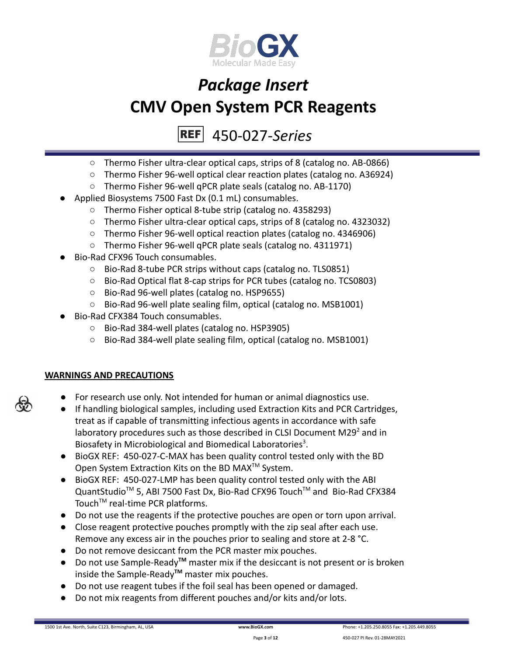

### 450-027-*Series*

- Thermo Fisher ultra-clear optical caps, strips of 8 (catalog no. AB-0866)
- Thermo Fisher 96-well optical clear reaction plates (catalog no. A36924)
- Thermo Fisher 96-well qPCR plate seals (catalog no. AB-1170)
- Applied Biosystems 7500 Fast Dx (0.1 mL) consumables.
	- Thermo Fisher optical 8-tube strip (catalog no. 4358293)
	- Thermo Fisher ultra-clear optical caps, strips of 8 (catalog no. 4323032)
	- Thermo Fisher 96-well optical reaction plates (catalog no. 4346906)
	- Thermo Fisher 96-well qPCR plate seals (catalog no. 4311971)
- Bio-Rad CFX96 Touch consumables.
	- Bio-Rad 8-tube PCR strips without caps (catalog no. TLS0851)
	- Bio-Rad Optical flat 8-cap strips for PCR tubes (catalog no. TCS0803)
	- Bio-Rad 96-well plates (catalog no. HSP9655)
	- Bio-Rad 96-well plate sealing film, optical (catalog no. MSB1001)
- Bio-Rad CFX384 Touch consumables.
	- Bio-Rad 384-well plates (catalog no. HSP3905)
	- Bio-Rad 384-well plate sealing film, optical (catalog no. MSB1001)

### **WARNINGS AND PRECAUTIONS**

- For research use only. Not intended for human or animal diagnostics use.
- If handling biological samples, including used Extraction Kits and PCR Cartridges, treat as if capable of transmitting infectious agents in accordance with safe laboratory procedures such as those described in CLSI Document M29 $2$  and in Biosafety in Microbiological and Biomedical Laboratories<sup>3</sup>.
- BioGX REF: 450-027-C-MAX has been quality control tested only with the BD Open System Extraction Kits on the BD MAX<sup>™</sup> System.
- BioGX REF: 450-027-LMP has been quality control tested only with the ABI QuantStudio<sup>™</sup> 5, ABI 7500 Fast Dx, Bio-Rad CFX96 Touch™ and Bio-Rad CFX384 Touch<sup>™</sup> real-time PCR platforms.
- Do not use the reagents if the protective pouches are open or torn upon arrival.
- Close reagent protective pouches promptly with the zip seal after each use. Remove any excess air in the pouches prior to sealing and store at 2-8 °C.
- Do not remove desiccant from the PCR master mix pouches.
- Do not use Sample-Ready**TM** master mix if the desiccant is not present or is broken inside the Sample-Ready**TM** master mix pouches.
- Do not use reagent tubes if the foil seal has been opened or damaged.
- Do not mix reagents from different pouches and/or kits and/or lots.



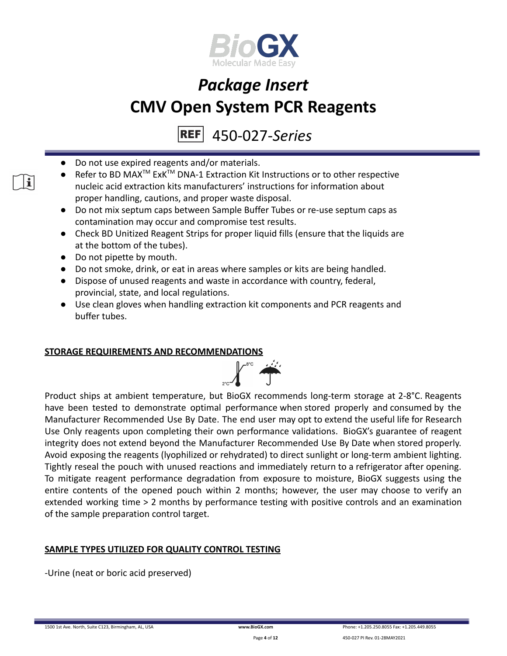

### 450-027-*Series*

- Do not use expired reagents and/or materials.
- Refer to BD MAX<sup>™</sup> ExK<sup>™</sup> DNA-1 Extraction Kit Instructions or to other respective nucleic acid extraction kits manufacturers' instructions for information about proper handling, cautions, and proper waste disposal.
- Do not mix septum caps between Sample Buffer Tubes or re-use septum caps as contamination may occur and compromise test results.
- Check BD Unitized Reagent Strips for proper liquid fills (ensure that the liquids are at the bottom of the tubes).
- Do not pipette by mouth.

 $\mathbf{i}$ 

- Do not smoke, drink, or eat in areas where samples or kits are being handled.
- Dispose of unused reagents and waste in accordance with country, federal, provincial, state, and local regulations.
- Use clean gloves when handling extraction kit components and PCR reagents and buffer tubes.

#### **STORAGE REQUIREMENTS AND RECOMMENDATIONS**



Product ships at ambient temperature, but BioGX recommends long-term storage at 2-8°C. Reagents have been tested to demonstrate optimal performance when stored properly and consumed by the Manufacturer Recommended Use By Date. The end user may opt to extend the useful life for Research Use Only reagents upon completing their own performance validations. BioGX's guarantee of reagent integrity does not extend beyond the Manufacturer Recommended Use By Date when stored properly. Avoid exposing the reagents (lyophilized or rehydrated) to direct sunlight or long-term ambient lighting. Tightly reseal the pouch with unused reactions and immediately return to a refrigerator after opening. To mitigate reagent performance degradation from exposure to moisture, BioGX suggests using the entire contents of the opened pouch within 2 months; however, the user may choose to verify an extended working time > 2 months by performance testing with positive controls and an examination of the sample preparation control target.

### **SAMPLE TYPES UTILIZED FOR QUALITY CONTROL TESTING**

-Urine (neat or boric acid preserved)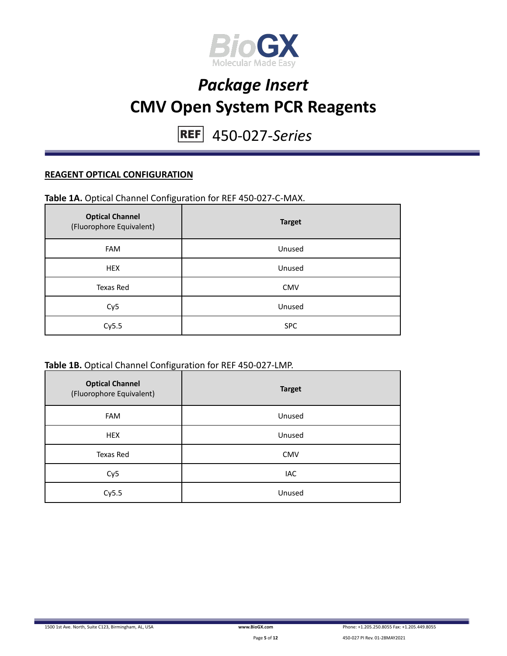

450-027-*Series*

### **REAGENT OPTICAL CONFIGURATION**

#### **Table 1A.** Optical Channel Configuration for REF 450-027-C-MAX.

| <b>Optical Channel</b><br>(Fluorophore Equivalent) | <b>Target</b> |
|----------------------------------------------------|---------------|
| FAM                                                | Unused        |
| <b>HEX</b>                                         | Unused        |
| Texas Red                                          | <b>CMV</b>    |
| Cy <sub>5</sub>                                    | Unused        |
| Cy5.5                                              | <b>SPC</b>    |

#### **Table 1B.** Optical Channel Configuration for REF 450-027-LMP.

| <b>Optical Channel</b><br>(Fluorophore Equivalent) | <b>Target</b> |
|----------------------------------------------------|---------------|
| <b>FAM</b>                                         | Unused        |
| <b>HEX</b>                                         | Unused        |
| Texas Red                                          | <b>CMV</b>    |
| Cy <sub>5</sub>                                    | IAC           |
| Cy5.5                                              | Unused        |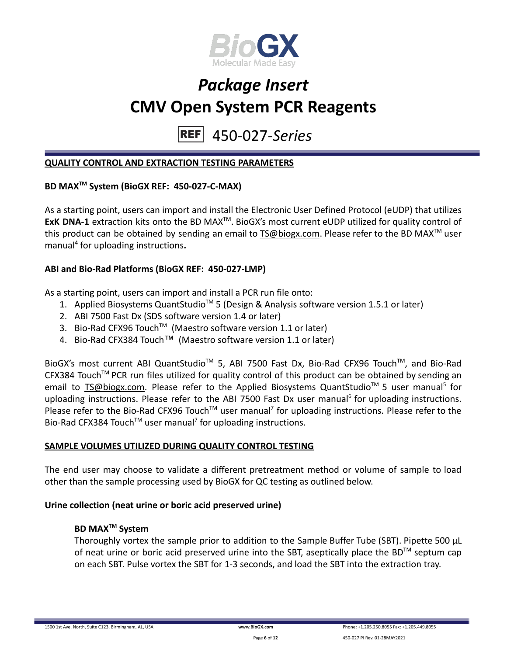

450-027-*Series* **REF** 

#### **QUALITY CONTROL AND EXTRACTION TESTING PARAMETERS**

### **BD MAXTM System (BioGX REF: 450-027-C-MAX)**

As a starting point, users can import and install the Electronic User Defined Protocol (eUDP) that utilizes ExK DNA-1 extraction kits onto the BD MAX<sup>™</sup>. BioGX's most current eUDP utilized for quality control of this product can be obtained by sending an email to [TS@biogx.com](mailto:TS@biogx.com). Please refer to the BD MAX<sup>TM</sup> user manual<sup>4</sup> for uploading instructions**.**

#### **ABI and Bio-Rad Platforms (BioGX REF: 450-027-LMP)**

As a starting point, users can import and install a PCR run file onto:

- 1. Applied Biosystems QuantStudio<sup>™</sup> 5 (Design & Analysis software version 1.5.1 or later)
- 2. ABI 7500 Fast Dx (SDS software version 1.4 or later)
- 3. Bio-Rad CFX96 Touch<sup>™</sup> (Maestro software version 1.1 or later)
- 4. Bio-Rad CFX384 Touch™ (Maestro software version 1.1 or later)

BioGX's most current ABI QuantStudio<sup>™</sup> 5, ABI 7500 Fast Dx, Bio-Rad CFX96 Touch™, and Bio-Rad CFX384 Touch™ PCR run files utilized for quality control of this product can be obtained by sending an email to **[TS@biogx.com.](mailto:TS@biogx.com)** Please refer to the Applied Biosystems QuantStudio<sup>™</sup> 5 user manual<sup>5</sup> for uploading instructions. Please refer to the ABI 7500 Fast Dx user manual<sup>6</sup> for uploading instructions. Please refer to the Bio-Rad CFX96 Touch<sup>™</sup> user manual<sup>7</sup> for uploading instructions. Please refer to the Bio-Rad CFX384 Touch<sup>™</sup> user manual<sup>7</sup> for uploading instructions.

### **SAMPLE VOLUMES UTILIZED DURING QUALITY CONTROL TESTING**

The end user may choose to validate a different pretreatment method or volume of sample to load other than the sample processing used by BioGX for QC testing as outlined below.

#### **Urine collection (neat urine or boric acid preserved urine)**

#### **BD MAXTM System**

Thoroughly vortex the sample prior to addition to the Sample Buffer Tube (SBT). Pipette 500 μL of neat urine or boric acid preserved urine into the SBT, aseptically place the BD<sup>TM</sup> septum cap on each SBT. Pulse vortex the SBT for 1-3 seconds, and load the SBT into the extraction tray.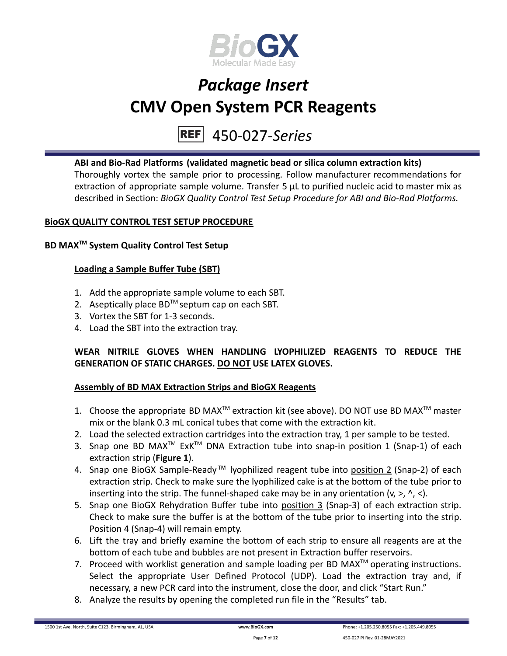

# 450-027-*Series*

### **ABI and Bio-Rad Platforms (validated magnetic bead or silica column extraction kits)**

Thoroughly vortex the sample prior to processing. Follow manufacturer recommendations for extraction of appropriate sample volume. Transfer 5 μL to purified nucleic acid to master mix as described in Section: *BioGX Quality Control Test Setup Procedure for ABI and Bio-Rad Platforms.*

### **BioGX QUALITY CONTROL TEST SETUP PROCEDURE**

### **BD MAXTM System Quality Control Test Setup**

### **Loading a Sample Buffer Tube (SBT)**

- 1. Add the appropriate sample volume to each SBT.
- 2. Aseptically place  $BD^{TM}$  septum cap on each SBT.
- 3. Vortex the SBT for 1-3 seconds.
- 4. Load the SBT into the extraction tray.

### **WEAR NITRILE GLOVES WHEN HANDLING LYOPHILIZED REAGENTS TO REDUCE THE GENERATION OF STATIC CHARGES. DO NOT USE LATEX GLOVES.**

### **Assembly of BD MAX Extraction Strips and BioGX Reagents**

- 1. Choose the appropriate BD MAX<sup>TM</sup> extraction kit (see above). DO NOT use BD MAX<sup>TM</sup> master mix or the blank 0.3 mL conical tubes that come with the extraction kit.
- 2. Load the selected extraction cartridges into the extraction tray, 1 per sample to be tested.
- 3. Snap one BD MAX<sup>™</sup> ExK<sup>™</sup> DNA Extraction tube into snap-in position 1 (Snap-1) of each extraction strip (**Figure 1**).
- 4. Snap one BioGX Sample-Ready™ lyophilized reagent tube into position 2 (Snap-2) of each extraction strip. Check to make sure the lyophilized cake is at the bottom of the tube prior to inserting into the strip. The funnel-shaped cake may be in any orientation  $(v, >, \land, <)$ .
- 5. Snap one BioGX Rehydration Buffer tube into position 3 (Snap-3) of each extraction strip. Check to make sure the buffer is at the bottom of the tube prior to inserting into the strip. Position 4 (Snap-4) will remain empty.
- 6. Lift the tray and briefly examine the bottom of each strip to ensure all reagents are at the bottom of each tube and bubbles are not present in Extraction buffer reservoirs.
- 7. Proceed with worklist generation and sample loading per BD MAX $^{TM}$  operating instructions. Select the appropriate User Defined Protocol (UDP). Load the extraction tray and, if necessary, a new PCR card into the instrument, close the door, and click "Start Run."
- 8. Analyze the results by opening the completed run file in the "Results" tab.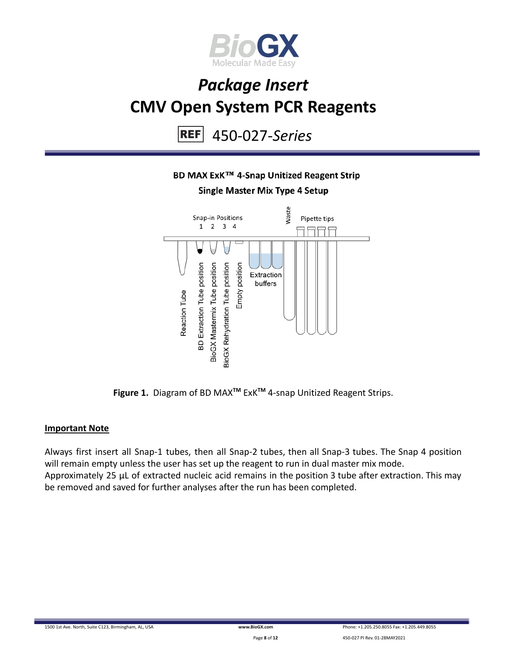

450-027-*Series* **REF** 

### BD MAX ExK™ 4-Snap Unitized Reagent Strip

**Single Master Mix Type 4 Setup** 



**Figure 1.** Diagram of BD MAX**TM** ExK**TM** 4-snap Unitized Reagent Strips.

#### **Important Note**

Always first insert all Snap-1 tubes, then all Snap-2 tubes, then all Snap-3 tubes. The Snap 4 position will remain empty unless the user has set up the reagent to run in dual master mix mode. Approximately 25 µL of extracted nucleic acid remains in the position 3 tube after extraction. This may be removed and saved for further analyses after the run has been completed.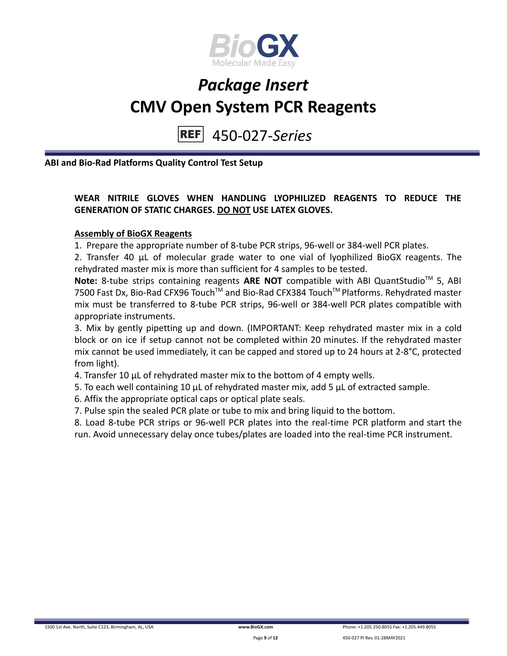

450-027-*Series* **REF** 

**ABI and Bio-Rad Platforms Quality Control Test Setup**

### **WEAR NITRILE GLOVES WHEN HANDLING LYOPHILIZED REAGENTS TO REDUCE THE GENERATION OF STATIC CHARGES. DO NOT USE LATEX GLOVES.**

#### **Assembly of BioGX Reagents**

1. Prepare the appropriate number of 8-tube PCR strips, 96-well or 384-well PCR plates.

2. Transfer 40 μL of molecular grade water to one vial of lyophilized BioGX reagents. The rehydrated master mix is more than sufficient for 4 samples to be tested.

Note: 8-tube strips containing reagents ARE NOT compatible with ABI QuantStudio<sup>™</sup> 5, ABI 7500 Fast Dx, Bio-Rad CFX96 Touch™ and Bio-Rad CFX384 Touch™ Platforms. Rehydrated master mix must be transferred to 8-tube PCR strips, 96-well or 384-well PCR plates compatible with appropriate instruments.

3. Mix by gently pipetting up and down. (IMPORTANT: Keep rehydrated master mix in a cold block or on ice if setup cannot not be completed within 20 minutes. If the rehydrated master mix cannot be used immediately, it can be capped and stored up to 24 hours at 2-8°C, protected from light).

4. Transfer 10 μL of rehydrated master mix to the bottom of 4 empty wells.

5. To each well containing 10 μL of rehydrated master mix, add 5 μL of extracted sample.

6. Affix the appropriate optical caps or optical plate seals.

7. Pulse spin the sealed PCR plate or tube to mix and bring liquid to the bottom.

8. Load 8-tube PCR strips or 96-well PCR plates into the real-time PCR platform and start the run. Avoid unnecessary delay once tubes/plates are loaded into the real-time PCR instrument.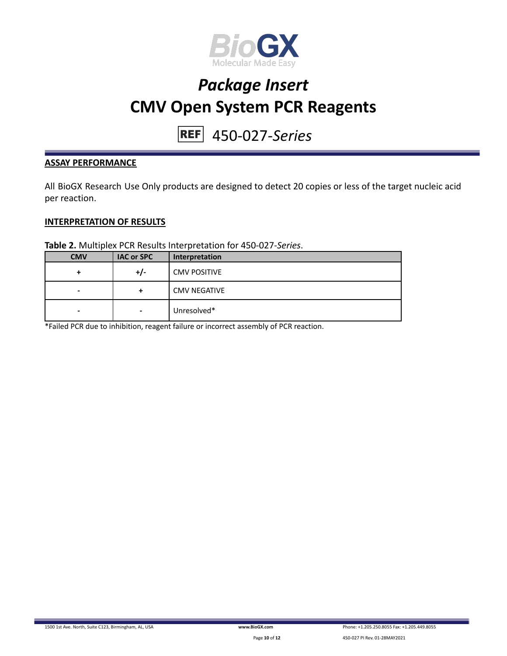

# 450-027-*Series*

#### **ASSAY PERFORMANCE**

All BioGX Research Use Only products are designed to detect 20 copies or less of the target nucleic acid per reaction.

#### **INTERPRETATION OF RESULTS**

**Table 2.** Multiplex PCR Results Interpretation for 450-027-*Series*.

| <b>CMV</b>               | <b>IAC or SPC</b> | Interpretation      |
|--------------------------|-------------------|---------------------|
| +                        | +/-               | <b>CMV POSITIVE</b> |
| -                        | +                 | <b>CMV NEGATIVE</b> |
| $\overline{\phantom{0}}$ | $\blacksquare$    | Unresolved*         |

\*Failed PCR due to inhibition, reagent failure or incorrect assembly of PCR reaction.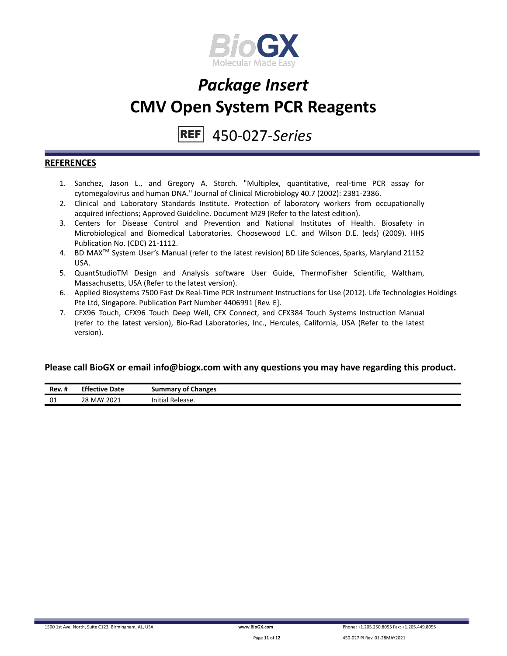

### 450-027-*Series*

#### **REFERENCES**

- 1. Sanchez, Jason L., and Gregory A. Storch. "Multiplex, quantitative, real-time PCR assay for cytomegalovirus and human DNA." Journal of Clinical Microbiology 40.7 (2002): 2381-2386.
- 2. Clinical and Laboratory Standards Institute. Protection of laboratory workers from occupationally acquired infections; Approved Guideline. Document M29 (Refer to the latest edition).
- 3. Centers for Disease Control and Prevention and National Institutes of Health. Biosafety in Microbiological and Biomedical Laboratories. Choosewood L.C. and Wilson D.E. (eds) (2009). HHS Publication No. (CDC) 21-1112.
- 4. BD MAX TM System User's Manual (refer to the latest revision) BD Life Sciences, Sparks, Maryland 21152 USA.
- 5. QuantStudioTM Design and Analysis software User Guide, ThermoFisher Scientific, Waltham, Massachusetts, USA (Refer to the latest version).
- 6. Applied Biosystems 7500 Fast Dx Real-Time PCR Instrument Instructions for Use (2012). Life Technologies Holdings Pte Ltd, Singapore. Publication Part Number 4406991 [Rev. E].
- 7. CFX96 Touch, CFX96 Touch Deep Well, CFX Connect, and CFX384 Touch Systems Instruction Manual (refer to the latest version), Bio-Rad Laboratories, Inc., Hercules, California, USA (Refer to the latest version).

#### **Please call BioGX or email info@biogx.com with any questions you may have regarding this product.**

| Rev. #             | <b>Effective</b><br>Date | <b>Summary of Changes</b>                  |
|--------------------|--------------------------|--------------------------------------------|
| $\mathsf{A}$<br>∪⊥ | 28 MAY 2021              | $\cdot\cdot\cdot$<br>' Release.<br>initial |